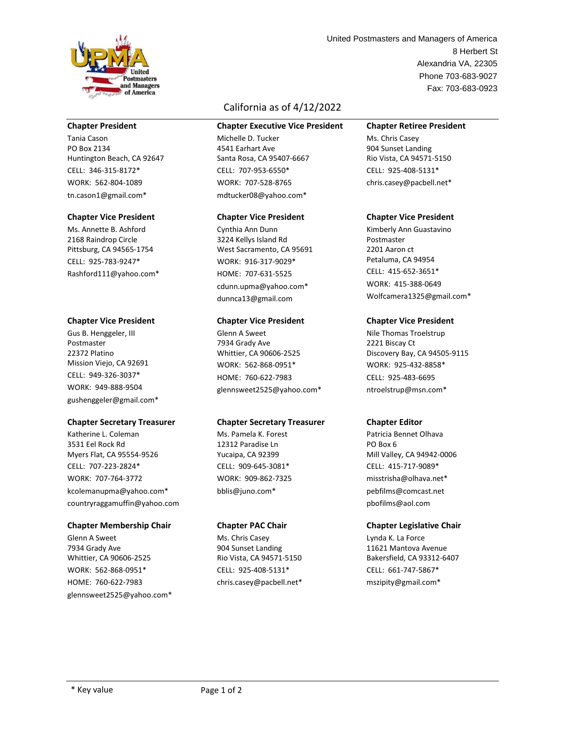

# **Chapter President**

Tania Cason PO Box 2134 Huntington Beach, CA 92647 CELL: 346-315-8172\* WORK: 562-804-1089 tn.cason1@gmail.com\*

## **Chapter Vice President**

Ms. Annette B. Ashford 2168 Raindrop Circle Pittsburg, CA 94565-1754 CELL: 925-783-9247\* Rashford111@yahoo.com\*

## **Chapter Vice President**

Gus B. Henggeler, III Postmaster 22372 Platino Mission Viejo, CA 92691 CELL: 949-326-3037\* WORK: 949-888-9504 gushenggeler@gmail.com\*

## **Chapter Secretary Treasurer**

Katherine L. Coleman 3531 Eel Rock Rd Myers Flat, CA 95554-9526 CELL: 707-223-2824\* WORK: 707-764-3772 kcolemanupma@yahoo.com\* countryraggamuffin@yahoo.com

## **Chapter Membership Chair**

Glenn A Sweet 7934 Grady Ave Whittier, CA 90606-2525 WORK: 562-868-0951\* HOME: 760-622-7983 glennsweet2525@yahoo.com\*

# California as of 4/12/2022

#### **Chapter Executive Vice President**

Michelle D. Tucker 4541 Earhart Ave Santa Rosa, CA 95407-6667 CELL: 707-953-6550\* WORK: 707-528-8765 mdtucker08@yahoo.com\*

#### **Chapter Vice President**

Cynthia Ann Dunn 3224 Kellys Island Rd West Sacramento, CA 95691 WORK: 916-317-9029\* HOME: 707-631-5525 cdunn.upma@yahoo.com\* dunnca13@gmail.com

## **Chapter Vice President**

Glenn A Sweet 7934 Grady Ave Whittier, CA 90606-2525 WORK: 562-868-0951\* HOME: 760-622-7983 glennsweet2525@yahoo.com\*

## **Chapter Secretary Treasurer**

Ms. Pamela K. Forest 12312 Paradise Ln Yucaipa, CA 92399 CELL: 909-645-3081\* WORK: 909-862-7325 bblis@juno.com\*

## **Chapter PAC Chair**

Ms. Chris Casey 904 Sunset Landing Rio Vista, CA 94571-5150 CELL: 925-408-5131\* chris.casey@pacbell.net\*

Alexandria VA, 22305 Phone 703-683-9027 8 Herbert St Fax: 703-683-0923 United Postmasters and Managers of America

# **Chapter Retiree President**

Ms. Chris Casey 904 Sunset Landing Rio Vista, CA 94571-5150 CELL: 925-408-5131\* chris.casey@pacbell.net\*

## **Chapter Vice President**

Kimberly Ann Guastavino Postmaster 2201 Aaron ct Petaluma, CA 94954 CELL: 415-652-3651\* WORK: 415-388-0649 Wolfcamera1325@gmail.com\*

## **Chapter Vice President**

Nile Thomas Troelstrup 2221 Biscay Ct Discovery Bay, CA 94505-9115 WORK: 925-432-8858\* CELL: 925-483-6695 ntroelstrup@msn.com\*

## **Chapter Editor**

Patricia Bennet Olhava PO Box 6 Mill Valley, CA 94942-0006 CELL: 415-717-9089\* misstrisha@olhava.net\* pebfilms@comcast.net pbofilms@aol.com

## **Chapter Legislative Chair**

Lynda K. La Force 11621 Mantova Avenue Bakersfield, CA 93312-6407 CELL: 661-747-5867\* mszipity@gmail.com\*